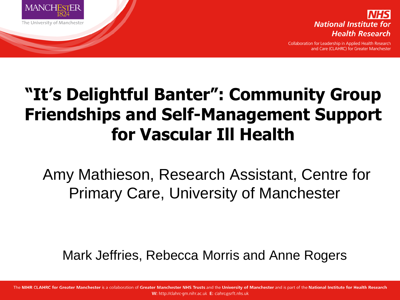



Collaboration for Leadership in Applied Health Research and Care (CLAHRC) for Greater Manchester

#### **"It's Delightful Banter": Community Group Friendships and Self-Management Support for Vascular Ill Health**

Amy Mathieson, Research Assistant, Centre for Primary Care, University of Manchester

Mark Jeffries, Rebecca Morris and Anne Rogers

The NIHR CLAHRC for Greater Manchester is a collaboration of Greater Manchester NHS Trusts and the University of Manchester and is part of the National Institute for Health Research W: http://clahrc-gm.nihr.ac.uk E: clahrc@srft.nhs.uk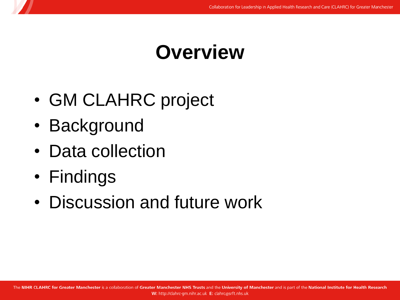#### **Overview**

- GM CLAHRC project
- Background
- Data collection
- Findings
- Discussion and future work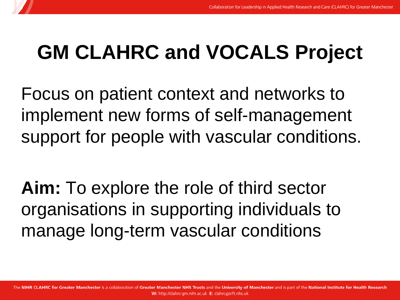# **GM CLAHRC and VOCALS Project**

Focus on patient context and networks to implement new forms of self-management support for people with vascular conditions.

**Aim:** To explore the role of third sector organisations in supporting individuals to manage long-term vascular conditions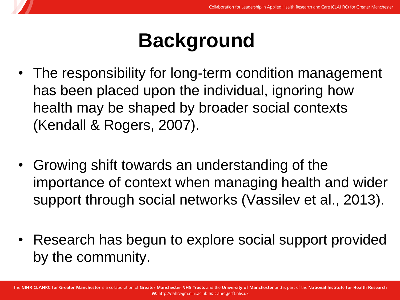# **Background**

- The responsibility for long-term condition management has been placed upon the individual, ignoring how health may be shaped by broader social contexts (Kendall & Rogers, 2007).
- Growing shift towards an understanding of the importance of context when managing health and wider support through social networks (Vassilev et al., 2013).
- Research has begun to explore social support provided by the community.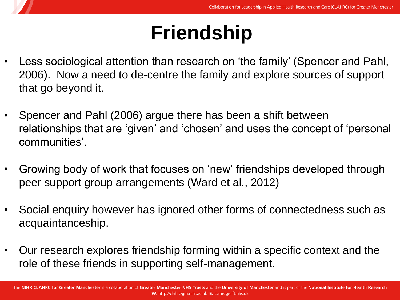# **Friendship**

- Less sociological attention than research on 'the family' (Spencer and Pahl, 2006). Now a need to de-centre the family and explore sources of support that go beyond it.
- Spencer and Pahl (2006) argue there has been a shift between relationships that are 'given' and 'chosen' and uses the concept of 'personal communities'.
- Growing body of work that focuses on 'new' friendships developed through peer support group arrangements (Ward et al., 2012)
- Social enquiry however has ignored other forms of connectedness such as acquaintanceship.
- Our research explores friendship forming within a specific context and the role of these friends in supporting self-management.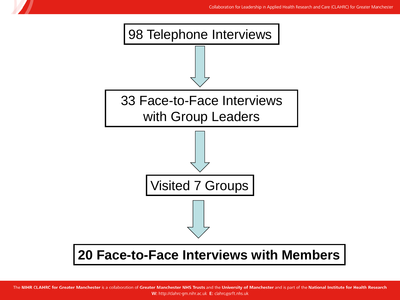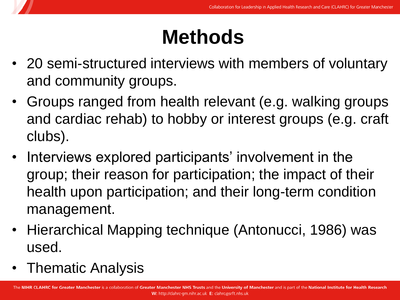# **Methods**

- 20 semi-structured interviews with members of voluntary and community groups.
- Groups ranged from health relevant (e.g. walking groups and cardiac rehab) to hobby or interest groups (e.g. craft clubs).
- Interviews explored participants' involvement in the group; their reason for participation; the impact of their health upon participation; and their long-term condition management.
- Hierarchical Mapping technique (Antonucci, 1986) was used.
- Thematic Analysis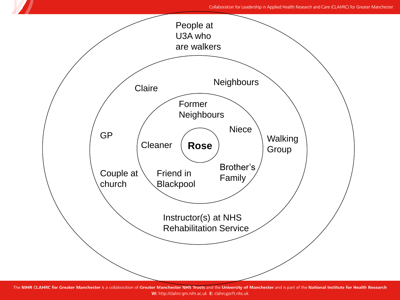#### Collaboration for Leadership in Applied Health Research and Care (CLAHRC) for Greater Manchester



The NIHR CLAHRC for Greater Manchester is a collaboration of Greater Manchester NHS Trusts and the University of Manchester and is part of the National Institute for Health Research W: http://clahrc-gm.nihr.ac.uk E: clahrc@srft.nhs.uk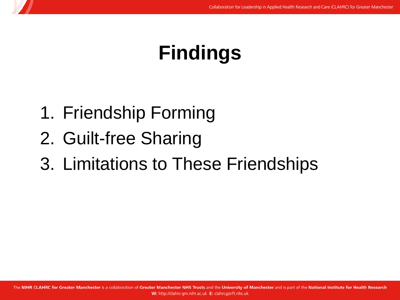### **Findings**

- 1. Friendship Forming
- 2. Guilt-free Sharing
- 3. Limitations to These Friendships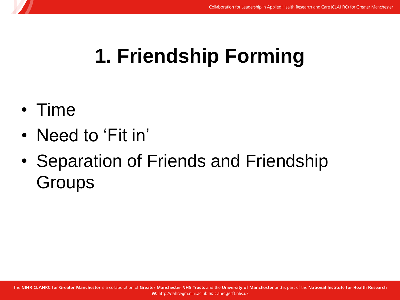# **1. Friendship Forming**

- Time
- Need to 'Fit in'
- Separation of Friends and Friendship **Groups**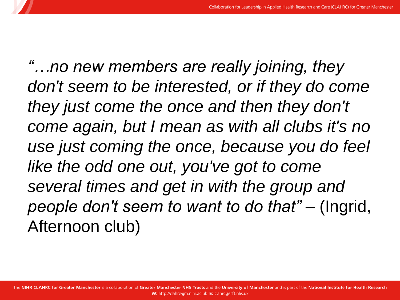*"…no new members are really joining, they don't seem to be interested, or if they do come they just come the once and then they don't come again, but I mean as with all clubs it's no use just coming the once, because you do feel like the odd one out, you've got to come several times and get in with the group and people don't seem to want to do that" –* (Ingrid, Afternoon club)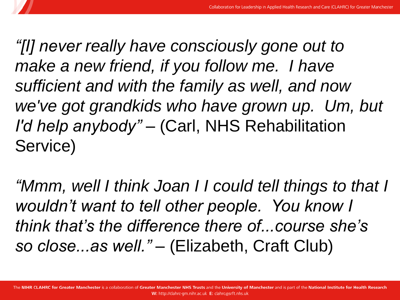*"[I] never really have consciously gone out to make a new friend, if you follow me. I have sufficient and with the family as well, and now we've got grandkids who have grown up. Um, but I'd help anybody" –* (Carl, NHS Rehabilitation Service)

*"Mmm, well I think Joan I I could tell things to that I wouldn't want to tell other people. You know I think that's the difference there of...course she's so close...as well." –* (Elizabeth, Craft Club)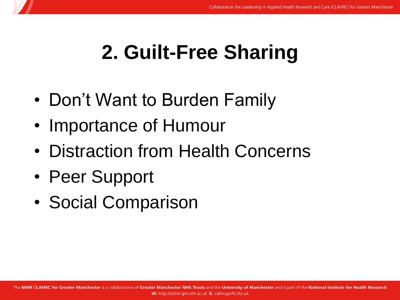### **2. Guilt-Free Sharing**

- Don't Want to Burden Family
- Importance of Humour
- Distraction from Health Concerns
- Peer Support
- Social Comparison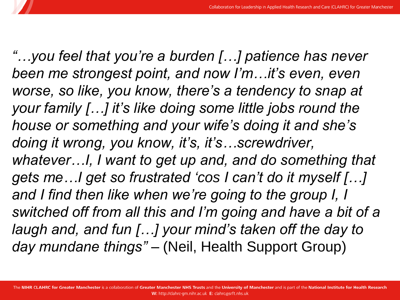*"…you feel that you're a burden […] patience has never been me strongest point, and now I'm…it's even, even worse, so like, you know, there's a tendency to snap at your family […] it's like doing some little jobs round the house or something and your wife's doing it and she's doing it wrong, you know, it's, it's…screwdriver, whatever…I, I want to get up and, and do something that gets me…I get so frustrated 'cos I can't do it myself […] and I find then like when we're going to the group I, I switched off from all this and I'm going and have a bit of a laugh and, and fun […] your mind's taken off the day to day mundane things" –* (Neil, Health Support Group)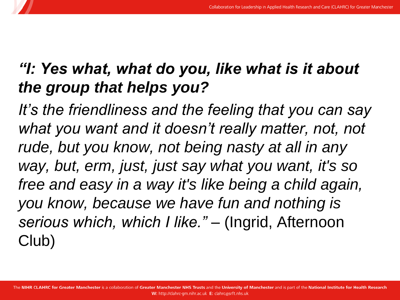#### *"I: Yes what, what do you, like what is it about the group that helps you?*

*It's the friendliness and the feeling that you can say*  what you want and it doesn't really matter, not, not *rude, but you know, not being nasty at all in any way, but, erm, just, just say what you want, it's so free and easy in a way it's like being a child again, you know, because we have fun and nothing is serious which, which I like." –* (Ingrid, Afternoon Club)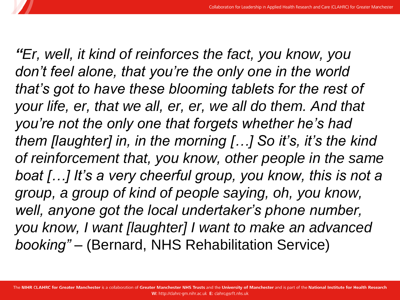*"Er, well, it kind of reinforces the fact, you know, you don't feel alone, that you're the only one in the world that's got to have these blooming tablets for the rest of your life, er, that we all, er, er, we all do them. And that you're not the only one that forgets whether he's had them [laughter] in, in the morning […] So it's, it's the kind of reinforcement that, you know, other people in the same boat […] It's a very cheerful group, you know, this is not a group, a group of kind of people saying, oh, you know, well, anyone got the local undertaker's phone number, you know, I want [laughter] I want to make an advanced booking" –* (Bernard, NHS Rehabilitation Service)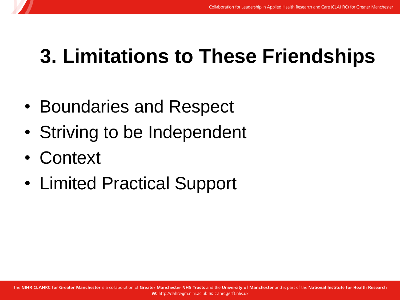### **3. Limitations to These Friendships**

- Boundaries and Respect
- Striving to be Independent
- Context
- Limited Practical Support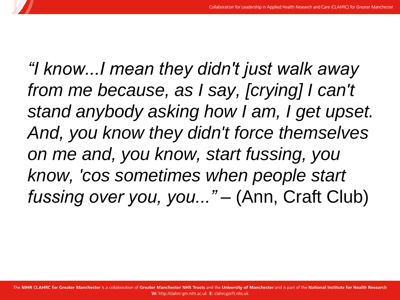*"I know...I mean they didn't just walk away from me because, as I say, [crying] I can't stand anybody asking how I am, I get upset. And, you know they didn't force themselves on me and, you know, start fussing, you know, 'cos sometimes when people start fussing over you, you..." –* (Ann, Craft Club)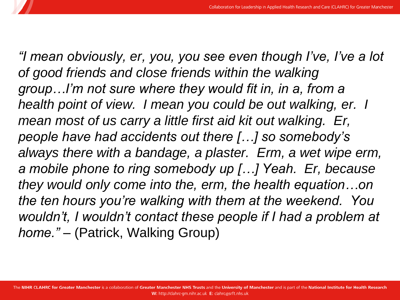*"I mean obviously, er, you, you see even though I've, I've a lot of good friends and close friends within the walking group…I'm not sure where they would fit in, in a, from a health point of view. I mean you could be out walking, er. I mean most of us carry a little first aid kit out walking. Er, people have had accidents out there […] so somebody's always there with a bandage, a plaster. Erm, a wet wipe erm, a mobile phone to ring somebody up […] Yeah. Er, because they would only come into the, erm, the health equation…on the ten hours you're walking with them at the weekend. You wouldn't, I wouldn't contact these people if I had a problem at home." –* (Patrick, Walking Group)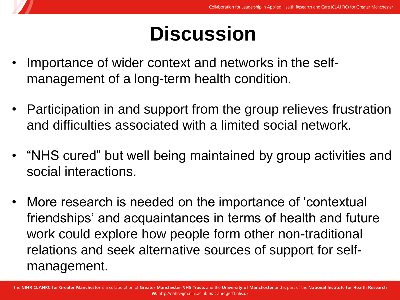# **Discussion**

- Importance of wider context and networks in the selfmanagement of a long-term health condition.
- Participation in and support from the group relieves frustration and difficulties associated with a limited social network.
- "NHS cured" but well being maintained by group activities and social interactions.
- More research is needed on the importance of 'contextual friendships' and acquaintances in terms of health and future work could explore how people form other non-traditional relations and seek alternative sources of support for selfmanagement.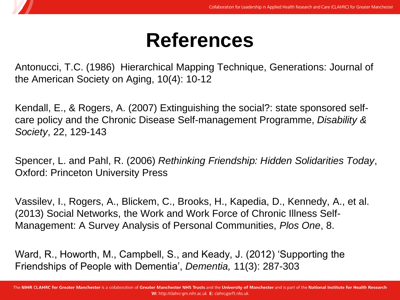### **References**

Antonucci, T.C. (1986) Hierarchical Mapping Technique, Generations: Journal of the American Society on Aging, 10(4): 10-12

Kendall, E., & Rogers, A. (2007) Extinguishing the social?: state sponsored selfcare policy and the Chronic Disease Self-management Programme, *Disability & Society*, 22, 129-143

Spencer, L. and Pahl, R. (2006) *Rethinking Friendship: Hidden Solidarities Today*, Oxford: Princeton University Press

Vassilev, I., Rogers, A., Blickem, C., Brooks, H., Kapedia, D., Kennedy, A., et al. (2013) Social Networks, the Work and Work Force of Chronic Illness Self-Management: A Survey Analysis of Personal Communities, *Plos One*, 8.

Ward, R., Howorth, M., Campbell, S., and Keady, J. (2012) 'Supporting the Friendships of People with Dementia', *Dementia,* 11(3): 287-303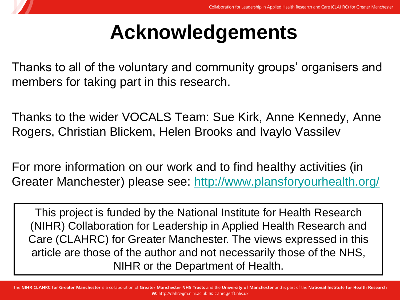# **Acknowledgements**

Thanks to all of the voluntary and community groups' organisers and members for taking part in this research.

Thanks to the wider VOCALS Team: Sue Kirk, Anne Kennedy, Anne Rogers, Christian Blickem, Helen Brooks and Ivaylo Vassilev

For more information on our work and to find healthy activities (in Greater Manchester) please see: <http://www.plansforyourhealth.org/>

This project is funded by the National Institute for Health Research (NIHR) Collaboration for Leadership in Applied Health Research and Care (CLAHRC) for Greater Manchester. The views expressed in this article are those of the author and not necessarily those of the NHS, NIHR or the Department of Health.

The NIHR CLAHRC for Greater Manchester is a collaboration of Greater Manchester NHS Trusts and the University of Manchester and is part of the National Institute for Health Research W: http://clahrc-gm.nihr.ac.uk E: clahrc@srft.nhs.uk